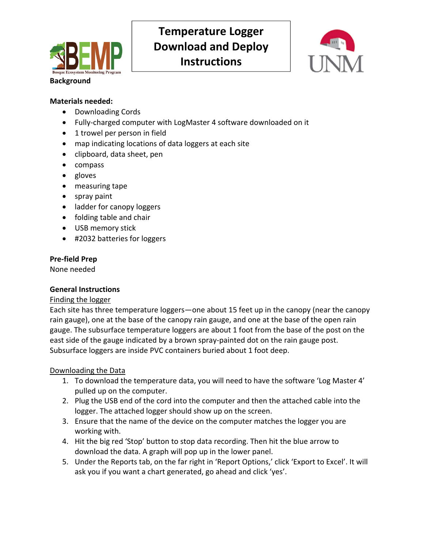

# **Temperature Logger Download and Deploy Instructions**



#### **Background**

#### **Materials needed:**

- Downloading Cords
- Fully-charged computer with LogMaster 4 software downloaded on it
- 1 trowel per person in field
- map indicating locations of data loggers at each site
- clipboard, data sheet, pen
- compass
- gloves
- measuring tape
- spray paint
- ladder for canopy loggers
- folding table and chair
- USB memory stick
- #2032 batteries for loggers

### **Pre‐field Prep**

None needed

#### **General Instructions**

#### Finding the logger

Each site has three temperature loggers—one about 15 feet up in the canopy (near the canopy rain gauge), one at the base of the canopy rain gauge, and one at the base of the open rain gauge. The subsurface temperature loggers are about 1 foot from the base of the post on the east side of the gauge indicated by a brown spray-painted dot on the rain gauge post. Subsurface loggers are inside PVC containers buried about 1 foot deep.

#### Downloading the Data

- 1. To download the temperature data, you will need to have the software 'Log Master 4' pulled up on the computer.
- 2. Plug the USB end of the cord into the computer and then the attached cable into the logger. The attached logger should show up on the screen.
- 3. Ensure that the name of the device on the computer matches the logger you are working with.
- 4. Hit the big red 'Stop' button to stop data recording. Then hit the blue arrow to download the data. A graph will pop up in the lower panel.
- 5. Under the Reports tab, on the far right in 'Report Options,' click 'Export to Excel'. It will ask you if you want a chart generated, go ahead and click 'yes'.